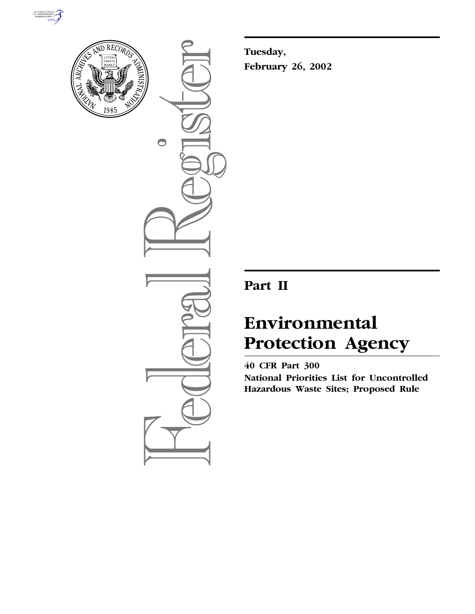



 $\bigcirc$ 

**Tuesday, February 26, 2002**

## **Part II**

# **Environmental Protection Agency**

**40 CFR Part 300 National Priorities List for Uncontrolled Hazardous Waste Sites; Proposed Rule**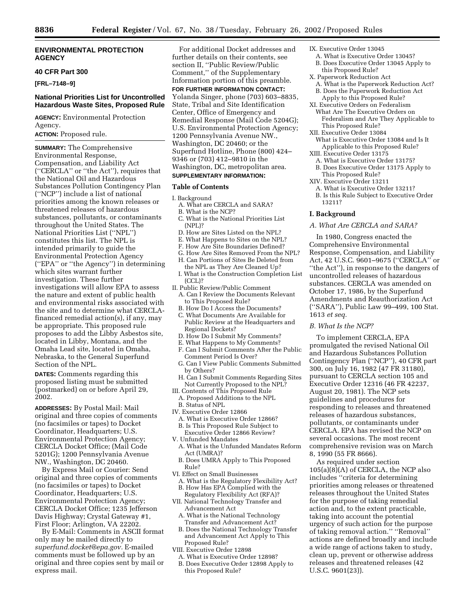## **ENVIRONMENTAL PROTECTION AGENCY**

#### **40 CFR Part 300**

**[FRL–7148–9]**

## **National Priorities List for Uncontrolled Hazardous Waste Sites, Proposed Rule**

**AGENCY:** Environmental Protection Agency.

**ACTION:** Proposed rule.

**SUMMARY:** The Comprehensive Environmental Response, Compensation, and Liability Act (''CERCLA'' or ''the Act''), requires that the National Oil and Hazardous Substances Pollution Contingency Plan (''NCP'') include a list of national priorities among the known releases or threatened releases of hazardous substances, pollutants, or contaminants throughout the United States. The National Priorities List (''NPL'') constitutes this list. The NPL is intended primarily to guide the Environmental Protection Agency (''EPA'' or ''the Agency'') in determining which sites warrant further investigation. These further investigations will allow EPA to assess the nature and extent of public health and environmental risks associated with the site and to determine what CERCLAfinanced remedial action(s), if any, may be appropriate. This proposed rule proposes to add the Libby Asbestos site, located in Libby, Montana, and the Omaha Lead site, located in Omaha, Nebraska, to the General Superfund Section of the NPL.

**DATES:** Comments regarding this proposed listing must be submitted (postmarked) on or before April 29, 2002.

**ADDRESSES:** By Postal Mail: Mail original and three copies of comments (no facsimiles or tapes) to Docket Coordinator, Headquarters; U.S. Environmental Protection Agency; CERCLA Docket Office; (Mail Code 5201G); 1200 Pennsylvania Avenue NW., Washington, DC 20460.

By Express Mail or Courier: Send original and three copies of comments (no facsimiles or tapes) to Docket Coordinator, Headquarters; U.S. Environmental Protection Agency; CERCLA Docket Office; 1235 Jefferson Davis Highway; Crystal Gateway #1, First Floor; Arlington, VA 22202.

By E-Mail: Comments in ASCII format only may be mailed directly to *superfund.docket@epa.gov.* E-mailed comments must be followed up by an original and three copies sent by mail or express mail.

For additional Docket addresses and further details on their contents, see section II, ''Public Review/Public Comment,'' of the Supplementary Information portion of this preamble. **FOR FURTHER INFORMATION CONTACT:** Yolanda Singer, phone (703) 603–8835, State, Tribal and Site Identification Center, Office of Emergency and Remedial Response (Mail Code 5204G); U.S. Environmental Protection Agency; 1200 Pennsylvania Avenue NW., Washington, DC 20460; or the Superfund Hotline, Phone (800) 424– 9346 or (703) 412–9810 in the Washington, DC, metropolitan area.

#### **SUPPLEMENTARY INFORMATION:**

#### **Table of Contents**

I. Background

- A. What are CERCLA and SARA?
- B. What is the NCP?
- C. What is the National Priorities List (NPL)?
- D. How are Sites Listed on the NPL?
- E. What Happens to Sites on the NPL?
- F. How Are Site Boundaries Defined?
- G. How Are Sites Removed From the NPL?
- H. Can Portions of Sites Be Deleted from the NPL as They Are Cleaned Up?
- I. What is the Construction Completion List (CCL)?
- II. Public Review/Public Comment A. Can I Review the Documents Relevant to This Proposed Rule?
	- B. How Do I Access the Documents?
	- C. What Documents Are Available for Public Review at the Headquarters and Regional Dockets?
	- D. How Do I Submit My Comments?
	- E. What Happens to My Comments?
	- F. Can I Submit Comments After the Public Comment Period Is Over?
	- G. Can I View Public Comments Submitted by Others?
- H. Can I Submit Comments Regarding Sites Not Currently Proposed to the NPL?
- III. Contents of This Proposed Rule
- A. Proposed Additions to the NPL
- B. Status of NPL
- IV. Executive Order 12866
- A. What is Executive Order 12866?
- B. Is This Proposed Rule Subject to Executive Order 12866 Review?
- V. Unfunded Mandates
	- A. What is the Unfunded Mandates Reform Act (UMRA)?
	- B. Does UMRA Apply to This Proposed Rule?
- VI. Effect on Small Businesses
	- A. What is the Regulatory Flexibility Act? B. How Has EPA Complied with the
- Regulatory Flexibility Act (RFA)? VII. National Technology Transfer and Advancement Act
	- A. What is the National Technology Transfer and Advancement Act?
	- B. Does the National Technology Transfer and Advancement Act Apply to This Proposed Rule?
- VIII. Executive Order 12898
- A. What is Executive Order 12898?
- B. Does Executive Order 12898 Apply to this Proposed Rule?
- IX. Executive Order 13045
- A. What is Executive Order 13045?
- B. Does Executive Order 13045 Apply to this Proposed Rule?
- X. Paperwork Reduction Act
	- A. What is the Paperwork Reduction Act? B. Does the Paperwork Reduction Act
- Apply to this Proposed Rule? XI. Executive Orders on Federalism
- What Are The Executive Orders on Federalism and Are They Applicable to This Proposed Rule?
- XII. Executive Order 13084 What is Executive Order 13084 and Is It Applicable to this Proposed Rule?
- XIII. Executive Order 13175
- A. What is Executive Order 13175? B. Does Executive Order 13175 Apply to
- This Proposed Rule? XIV. Executive Order 13211
- A. What is Executive Order 13211?
- B. Is this Rule Subject to Executive Order 13211?

#### **I. Background**

## *A. What Are CERCLA and SARA?*

In 1980, Congress enacted the Comprehensive Environmental Response, Compensation, and Liability Act, 42 U.S.C. 9601–9675 (''CERCLA'' or ''the Act''), in response to the dangers of uncontrolled releases of hazardous substances. CERCLA was amended on October 17, 1986, by the Superfund Amendments and Reauthorization Act (''SARA''), Public Law 99–499, 100 Stat. 1613 *et seq.*

#### *B. What Is the NCP?*

To implement CERCLA, EPA promulgated the revised National Oil and Hazardous Substances Pollution Contingency Plan (''NCP''), 40 CFR part 300, on July 16, 1982 (47 FR 31180), pursuant to CERCLA section 105 and Executive Order 12316 (46 FR 42237, August 20, 1981). The NCP sets guidelines and procedures for responding to releases and threatened releases of hazardous substances, pollutants, or contaminants under CERCLA. EPA has revised the NCP on several occasions. The most recent comprehensive revision was on March 8, 1990 (55 FR 8666).

As required under section 105(a)(8)(A) of CERCLA, the NCP also includes ''criteria for determining priorities among releases or threatened releases throughout the United States for the purpose of taking remedial action and, to the extent practicable, taking into account the potential urgency of such action for the purpose of taking removal action.'' ''Removal'' actions are defined broadly and include a wide range of actions taken to study, clean up, prevent or otherwise address releases and threatened releases (42 U.S.C. 9601(23)).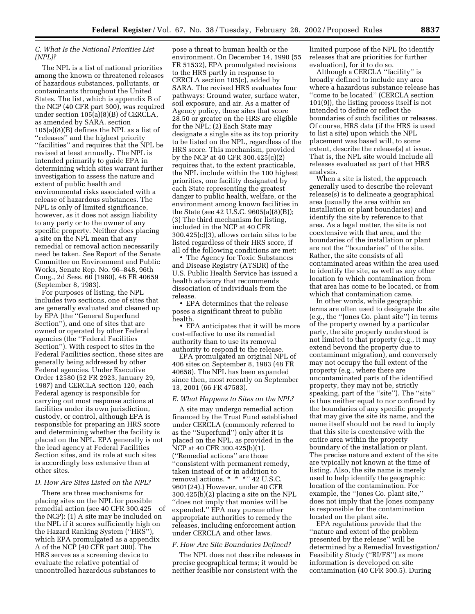## *C. What Is the National Priorities List (NPL)?*

The NPL is a list of national priorities among the known or threatened releases of hazardous substances, pollutants, or contaminants throughout the United States. The list, which is appendix B of the NCP (40 CFR part 300), was required under section 105(a)(8)(B) of CERCLA, as amended by SARA. section 105(a)(8)(B) defines the NPL as a list of ''releases'' and the highest priority ''facilities'' and requires that the NPL be revised at least annually. The NPL is intended primarily to guide EPA in determining which sites warrant further investigation to assess the nature and extent of public health and environmental risks associated with a release of hazardous substances. The NPL is only of limited significance, however, as it does not assign liability to any party or to the owner of any specific property. Neither does placing a site on the NPL mean that any remedial or removal action necessarily need be taken. See Report of the Senate Committee on Environment and Public Works, Senate Rep. No. 96–848, 96th Cong., 2d Sess. 60 (1980), 48 FR 40659 (September 8, 1983).

For purposes of listing, the NPL includes two sections, one of sites that are generally evaluated and cleaned up by EPA (the ''General Superfund Section''), and one of sites that are owned or operated by other Federal agencies (the ''Federal Facilities Section''). With respect to sites in the Federal Facilities section, these sites are generally being addressed by other Federal agencies. Under Executive Order 12580 (52 FR 2923, January 29, 1987) and CERCLA section 120, each Federal agency is responsible for carrying out most response actions at facilities under its own jurisdiction, custody, or control, although EPA is responsible for preparing an HRS score and determining whether the facility is placed on the NPL. EPA generally is not the lead agency at Federal Facilities Section sites, and its role at such sites is accordingly less extensive than at other sites.

#### *D. How Are Sites Listed on the NPL?*

There are three mechanisms for placing sites on the NPL for possible remedial action (see 40 CFR 300.425© of the NCP): (1) A site may be included on the NPL if it scores sufficiently high on the Hazard Ranking System (''HRS''), which EPA promulgated as a appendix A of the NCP (40 CFR part 300). The HRS serves as a screening device to evaluate the relative potential of uncontrolled hazardous substances to

pose a threat to human health or the environment. On December 14, 1990 (55 FR 51532), EPA promulgated revisions to the HRS partly in response to CERCLA section 105(c), added by SARA. The revised HRS evaluates four pathways: Ground water, surface water, soil exposure, and air. As a matter of Agency policy, those sites that score 28.50 or greater on the HRS are eligible for the NPL; (2) Each State may designate a single site as its top priority to be listed on the NPL, regardless of the HRS score. This mechanism, provided by the NCP at 40 CFR 300.425(c)(2) requires that, to the extent practicable, the NPL include within the 100 highest priorities, one facility designated by each State representing the greatest danger to public health, welfare, or the environment among known facilities in the State (see 42 U.S.C. 9605(a)(8)(B)); (3) The third mechanism for listing, included in the NCP at 40 CFR 300.425(c)(3), allows certain sites to be listed regardless of their HRS score, if all of the following conditions are met:

• The Agency for Toxic Substances and Disease Registry (ATSDR) of the U.S. Public Health Service has issued a health advisory that recommends dissociation of individuals from the release.

• EPA determines that the release poses a significant threat to public health.

• EPA anticipates that it will be more cost-effective to use its remedial authority than to use its removal authority to respond to the release.

EPA promulgated an original NPL of 406 sites on September 8, 1983 (48 FR 40658). The NPL has been expanded since then, most recently on September 13, 2001 (66 FR 47583).

#### *E. What Happens to Sites on the NPL?*

A site may undergo remedial action financed by the Trust Fund established under CERCLA (commonly referred to as the ''Superfund'') only after it is placed on the NPL, as provided in the NCP at 40 CFR 300.425(b)(1). (''Remedial actions'' are those ''consistent with permanent remedy, taken instead of or in addition to removal actions. \* \* \* \* 2 U.S.C. 9601(24).) However, under 40 CFR 300.425(b)(2) placing a site on the NPL ''does not imply that monies will be expended.'' EPA may pursue other appropriate authorities to remedy the releases, including enforcement action under CERCLA and other laws.

## *F. How Are Site Boundaries Defined?*

The NPL does not describe releases in precise geographical terms; it would be neither feasible nor consistent with the

limited purpose of the NPL (to identify releases that are priorities for further evaluation), for it to do so.

Although a CERCLA ''facility'' is broadly defined to include any area where a hazardous substance release has ''come to be located'' (CERCLA section 101(9)), the listing process itself is not intended to define or reflect the boundaries of such facilities or releases. Of course, HRS data (if the HRS is used to list a site) upon which the NPL placement was based will, to some extent, describe the release(s) at issue. That is, the NPL site would include all releases evaluated as part of that HRS analysis.

When a site is listed, the approach generally used to describe the relevant release(s) is to delineate a geographical area (usually the area within an installation or plant boundaries) and identify the site by reference to that area. As a legal matter, the site is not coextensive with that area, and the boundaries of the installation or plant are not the ''boundaries'' of the site. Rather, the site consists of all contaminated areas within the area used to identify the site, as well as any other location to which contamination from that area has come to be located, or from which that contamination came.

In other words, while geographic terms are often used to designate the site (e.g., the ''Jones Co. plant site'') in terms of the property owned by a particular party, the site properly understood is not limited to that property (e.g., it may extend beyond the property due to contaminant migration), and conversely may not occupy the full extent of the property (e.g., where there are uncontaminated parts of the identified property, they may not be, strictly speaking, part of the ''site''). The ''site'' is thus neither equal to nor confined by the boundaries of any specific property that may give the site its name, and the name itself should not be read to imply that this site is coextensive with the entire area within the property boundary of the installation or plant. The precise nature and extent of the site are typically not known at the time of listing. Also, the site name is merely used to help identify the geographic location of the contamination. For example, the ''Jones Co. plant site,'' does not imply that the Jones company is responsible for the contamination located on the plant site.

EPA regulations provide that the ''nature and extent of the problem presented by the release'' will be determined by a Remedial Investigation/ Feasibility Study (''RI/FS'') as more information is developed on site contamination (40 CFR 300.5). During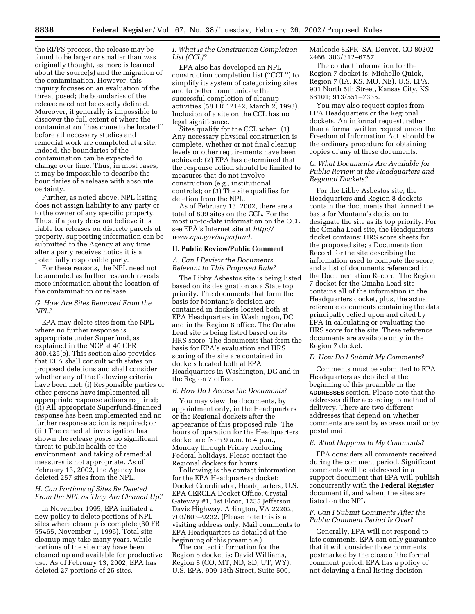the RI/FS process, the release may be found to be larger or smaller than was originally thought, as more is learned about the source(s) and the migration of the contamination. However, this inquiry focuses on an evaluation of the threat posed; the boundaries of the release need not be exactly defined. Moreover, it generally is impossible to discover the full extent of where the contamination ''has come to be located'' before all necessary studies and remedial work are completed at a site. Indeed, the boundaries of the contamination can be expected to change over time. Thus, in most cases, it may be impossible to describe the boundaries of a release with absolute certainty.

Further, as noted above, NPL listing does not assign liability to any party or to the owner of any specific property. Thus, if a party does not believe it is liable for releases on discrete parcels of property, supporting information can be submitted to the Agency at any time after a party receives notice it is a potentially responsible party.

For these reasons, the NPL need not be amended as further research reveals more information about the location of the contamination or release.

## *G. How Are Sites Removed From the NPL?*

EPA may delete sites from the NPL where no further response is appropriate under Superfund, as explained in the NCP at 40 CFR 300.425(e). This section also provides that EPA shall consult with states on proposed deletions and shall consider whether any of the following criteria have been met: (i) Responsible parties or other persons have implemented all appropriate response actions required; (ii) All appropriate Superfund-financed response has been implemented and no further response action is required; or (iii) The remedial investigation has shown the release poses no significant threat to public health or the environment, and taking of remedial measures is not appropriate. As of February 13, 2002, the Agency has deleted 257 sites from the NPL.

## *H. Can Portions of Sites Be Deleted From the NPL as They Are Cleaned Up?*

In November 1995, EPA initiated a new policy to delete portions of NPL sites where cleanup is complete (60 FR 55465, November 1, 1995). Total site cleanup may take many years, while portions of the site may have been cleaned up and available for productive use. As of February 13, 2002, EPA has deleted 27 portions of 25 sites.

## *I. What Is the Construction Completion List (CCL)?*

EPA also has developed an NPL construction completion list (''CCL'') to simplify its system of categorizing sites and to better communicate the successful completion of cleanup activities (58 FR 12142, March 2, 1993). Inclusion of a site on the CCL has no legal significance.

Sites qualify for the CCL when: (1) Any necessary physical construction is complete, whether or not final cleanup levels or other requirements have been achieved; (2) EPA has determined that the response action should be limited to measures that do not involve construction (e.g., institutional controls); or (3) The site qualifies for deletion from the NPL.

As of February 13, 2002, there are a total of 809 sites on the CCL. For the most up-to-date information on the CCL, see EPA's Internet site at *http:// www.epa.gov/superfund.*

## **II. Public Review/Public Comment**

## *A. Can I Review the Documents Relevant to This Proposed Rule?*

The Libby Asbestos site is being listed based on its designation as a State top priority. The documents that form the basis for Montana's decision are contained in dockets located both at EPA Headquarters in Washington, DC and in the Region 8 office. The Omaha Lead site is being listed based on its HRS score. The documents that form the basis for EPA's evaluation and HRS scoring of the site are contained in dockets located both at EPA Headquarters in Washington, DC and in the Region 7 office.

## *B. How Do I Access the Documents?*

You may view the documents, by appointment only, in the Headquarters or the Regional dockets after the appearance of this proposed rule. The hours of operation for the Headquarters docket are from 9 a.m. to 4 p.m., Monday through Friday excluding Federal holidays. Please contact the Regional dockets for hours.

Following is the contact information for the EPA Headquarters docket: Docket Coordinator, Headquarters, U.S. EPA CERCLA Docket Office, Crystal Gateway #1, 1st Floor, 1235 Jefferson Davis Highway, Arlington, VA 22202, 703/603–9232. (Please note this is a visiting address only. Mail comments to EPA Headquarters as detailed at the beginning of this preamble.)

The contact information for the Region 8 docket is: David Williams, Region 8 (CO, MT, ND, SD, UT, WY), U.S. EPA, 999 18th Street, Suite 500, Mailcode 8EPR–SA, Denver, CO 80202– 2466; 303/312–6757.

The contact information for the Region 7 docket is: Michelle Quick, Region 7 (IA, KS, MO, NE), U.S. EPA, 901 North 5th Street, Kansas City, KS 66101; 913/551–7335.

You may also request copies from EPA Headquarters or the Regional dockets. An informal request, rather than a formal written request under the Freedom of Information Act, should be the ordinary procedure for obtaining copies of any of these documents.

## *C. What Documents Are Available for Public Review at the Headquarters and Regional Dockets?*

For the Libby Asbestos site, the Headquarters and Region 8 dockets contain the documents that formed the basis for Montana's decision to designate the site as its top priority. For the Omaha Lead site, the Headquarters docket contains: HRS score sheets for the proposed site; a Documentation Record for the site describing the information used to compute the score; and a list of documents referenced in the Documentation Record. The Region 7 docket for the Omaha Lead site contains all of the information in the Headquarters docket, plus, the actual reference documents containing the data principally relied upon and cited by EPA in calculating or evaluating the HRS score for the site. These reference documents are available only in the Region 7 docket.

#### *D. How Do I Submit My Comments?*

Comments must be submitted to EPA Headquarters as detailed at the beginning of this preamble in the **ADDRESSES** section. Please note that the addresses differ according to method of delivery. There are two different addresses that depend on whether comments are sent by express mail or by postal mail.

## *E. What Happens to My Comments?*

EPA considers all comments received during the comment period. Significant comments will be addressed in a support document that EPA will publish concurrently with the **Federal Register** document if, and when, the sites are listed on the NPL.

## *F. Can I Submit Comments After the Public Comment Period Is Over?*

Generally, EPA will not respond to late comments. EPA can only guarantee that it will consider those comments postmarked by the close of the formal comment period. EPA has a policy of not delaying a final listing decision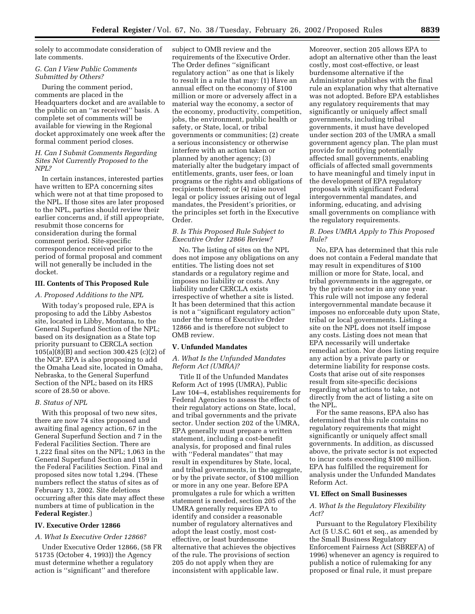solely to accommodate consideration of late comments.

## *G. Can I View Public Comments Submitted by Others?*

During the comment period, comments are placed in the Headquarters docket and are available to the public on an ''as received'' basis. A complete set of comments will be available for viewing in the Regional docket approximately one week after the formal comment period closes.

## *H. Can I Submit Comments Regarding Sites Not Currently Proposed to the NPL?*

In certain instances, interested parties have written to EPA concerning sites which were not at that time proposed to the NPL. If those sites are later proposed to the NPL, parties should review their earlier concerns and, if still appropriate, resubmit those concerns for consideration during the formal comment period. Site-specific correspondence received prior to the period of formal proposal and comment will not generally be included in the docket.

## **III. Contents of This Proposed Rule**

#### *A. Proposed Additions to the NPL*

With today's proposed rule, EPA is proposing to add the Libby Asbestos site, located in Libby, Montana, to the General Superfund Section of the NPL; based on its designation as a State top priority pursuant to CERCLA section 105(a)(8)(B) and section 300.425 (c)(2) of the NCP. EPA is also proposing to add the Omaha Lead site, located in Omaha, Nebraska, to the General Superfund Section of the NPL; based on its HRS score of 28.50 or above.

#### *B. Status of NPL*

With this proposal of two new sites, there are now 74 sites proposed and awaiting final agency action, 67 in the General Superfund Section and 7 in the Federal Facilities Section. There are 1,222 final sites on the NPL; 1,063 in the General Superfund Section and 159 in the Federal Facilities Section. Final and proposed sites now total 1,294. (These numbers reflect the status of sites as of February 13, 2002. Site deletions occurring after this date may affect these numbers at time of publication in the **Federal Register**.)

#### **IV. Executive Order 12866**

## *A. What Is Executive Order 12866?*

Under Executive Order 12866, (58 FR 51735 (October 4, 1993)) the Agency must determine whether a regulatory action is ''significant'' and therefore

subject to OMB review and the requirements of the Executive Order. The Order defines ''significant regulatory action'' as one that is likely to result in a rule that may: (1) Have an annual effect on the economy of \$100 million or more or adversely affect in a material way the economy, a sector of the economy, productivity, competition, jobs, the environment, public health or safety, or State, local, or tribal governments or communities; (2) create a serious inconsistency or otherwise interfere with an action taken or planned by another agency; (3) materially alter the budgetary impact of entitlements, grants, user fees, or loan programs or the rights and obligations of recipients thereof; or (4) raise novel legal or policy issues arising out of legal mandates, the President's priorities, or the principles set forth in the Executive Order.

## *B. Is This Proposed Rule Subject to Executive Order 12866 Review?*

No. The listing of sites on the NPL does not impose any obligations on any entities. The listing does not set standards or a regulatory regime and imposes no liability or costs. Any liability under CERCLA exists irrespective of whether a site is listed. It has been determined that this action is not a ''significant regulatory action'' under the terms of Executive Order 12866 and is therefore not subject to OMB review.

#### **V. Unfunded Mandates**

## *A. What Is the Unfunded Mandates Reform Act (UMRA)?*

Title II of the Unfunded Mandates Reform Act of 1995 (UMRA), Public Law 104–4, establishes requirements for Federal Agencies to assess the effects of their regulatory actions on State, local, and tribal governments and the private sector. Under section 202 of the UMRA, EPA generally must prepare a written statement, including a cost-benefit analysis, for proposed and final rules with ''Federal mandates'' that may result in expenditures by State, local, and tribal governments, in the aggregate, or by the private sector, of \$100 million or more in any one year. Before EPA promulgates a rule for which a written statement is needed, section 205 of the UMRA generally requires EPA to identify and consider a reasonable number of regulatory alternatives and adopt the least costly, most costeffective, or least burdensome alternative that achieves the objectives of the rule. The provisions of section 205 do not apply when they are inconsistent with applicable law.

Moreover, section 205 allows EPA to adopt an alternative other than the least costly, most cost-effective, or least burdensome alternative if the Administrator publishes with the final rule an explanation why that alternative was not adopted. Before EPA establishes any regulatory requirements that may significantly or uniquely affect small governments, including tribal governments, it must have developed under section 203 of the UMRA a small government agency plan. The plan must provide for notifying potentially affected small governments, enabling officials of affected small governments to have meaningful and timely input in the development of EPA regulatory proposals with significant Federal intergovernmental mandates, and informing, educating, and advising small governments on compliance with the regulatory requirements.

#### *B. Does UMRA Apply to This Proposed Rule?*

No, EPA has determined that this rule does not contain a Federal mandate that may result in expenditures of \$100 million or more for State, local, and tribal governments in the aggregate, or by the private sector in any one year. This rule will not impose any federal intergovernmental mandate because it imposes no enforceable duty upon State, tribal or local governments. Listing a site on the NPL does not itself impose any costs. Listing does not mean that EPA necessarily will undertake remedial action. Nor does listing require any action by a private party or determine liability for response costs. Costs that arise out of site responses result from site-specific decisions regarding what actions to take, not directly from the act of listing a site on the NPL.

For the same reasons, EPA also has determined that this rule contains no regulatory requirements that might significantly or uniquely affect small governments. In addition, as discussed above, the private sector is not expected to incur costs exceeding \$100 million. EPA has fulfilled the requirement for analysis under the Unfunded Mandates Reform Act.

## **VI. Effect on Small Businesses**

#### *A. What Is the Regulatory Flexibility Act?*

Pursuant to the Regulatory Flexibility Act (5 U.S.C. 601 et seq., as amended by the Small Business Regulatory Enforcement Fairness Act (SBREFA) of 1996) whenever an agency is required to publish a notice of rulemaking for any proposed or final rule, it must prepare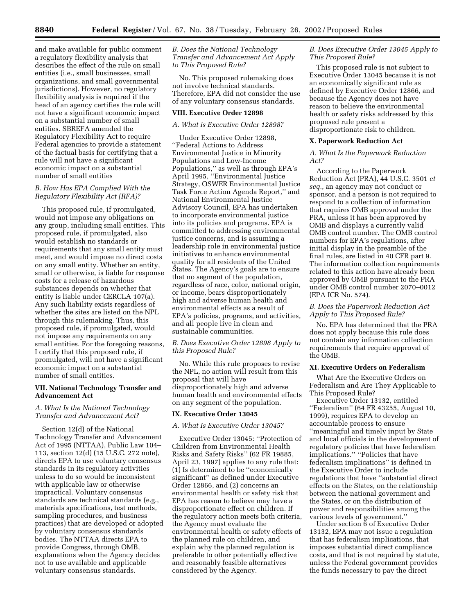and make available for public comment a regulatory flexibility analysis that describes the effect of the rule on small entities (i.e., small businesses, small organizations, and small governmental jurisdictions). However, no regulatory flexibility analysis is required if the head of an agency certifies the rule will not have a significant economic impact on a substantial number of small entities. SBREFA amended the Regulatory Flexibility Act to require Federal agencies to provide a statement of the factual basis for certifying that a rule will not have a significant economic impact on a substantial number of small entities

## *B. How Has EPA Complied With the Regulatory Flexibility Act (RFA)?*

This proposed rule, if promulgated, would not impose any obligations on any group, including small entities. This proposed rule, if promulgated, also would establish no standards or requirements that any small entity must meet, and would impose no direct costs on any small entity. Whether an entity, small or otherwise, is liable for response costs for a release of hazardous substances depends on whether that entity is liable under CERCLA 107(a). Any such liability exists regardless of whether the sites are listed on the NPL through this rulemaking. Thus, this proposed rule, if promulgated, would not impose any requirements on any small entities. For the foregoing reasons, I certify that this proposed rule, if promulgated, will not have a significant economic impact on a substantial number of small entities.

## **VII. National Technology Transfer and Advancement Act**

## *A. What Is the National Technology Transfer and Advancement Act?*

Section 12(d) of the National Technology Transfer and Advancement Act of 1995 (NTTAA), Public Law 104– 113, section 12(d) (15 U.S.C. 272 note), directs EPA to use voluntary consensus standards in its regulatory activities unless to do so would be inconsistent with applicable law or otherwise impractical. Voluntary consensus standards are technical standards (e.g., materials specifications, test methods, sampling procedures, and business practices) that are developed or adopted by voluntary consensus standards bodies. The NTTAA directs EPA to provide Congress, through OMB, explanations when the Agency decides not to use available and applicable voluntary consensus standards.

*B. Does the National Technology Transfer and Advancement Act Apply to This Proposed Rule?*

No. This proposed rulemaking does not involve technical standards. Therefore, EPA did not consider the use of any voluntary consensus standards.

## **VIII. Executive Order 12898**

## *A. What is Executive Order 12898?*

Under Executive Order 12898, ''Federal Actions to Address Environmental Justice in Minority Populations and Low-Income Populations,'' as well as through EPA's April 1995, ''Environmental Justice Strategy, OSWER Environmental Justice Task Force Action Agenda Report,'' and National Environmental Justice Advisory Council, EPA has undertaken to incorporate environmental justice into its policies and programs. EPA is committed to addressing environmental justice concerns, and is assuming a leadership role in environmental justice initiatives to enhance environmental quality for all residents of the United States. The Agency's goals are to ensure that no segment of the population, regardless of race, color, national origin, or income, bears disproportionately high and adverse human health and environmental effects as a result of EPA's policies, programs, and activities, and all people live in clean and sustainable communities.

## *B. Does Executive Order 12898 Apply to this Proposed Rule?*

No. While this rule proposes to revise the NPL, no action will result from this proposal that will have disproportionately high and adverse human health and environmental effects on any segment of the population.

## **IX. Executive Order 13045**

#### *A. What Is Executive Order 13045?*

Executive Order 13045: ''Protection of Children from Environmental Health Risks and Safety Risks'' (62 FR 19885, April 23, 1997) applies to any rule that: (1) Is determined to be ''economically significant'' as defined under Executive Order 12866, and (2) concerns an environmental health or safety risk that EPA has reason to believe may have a disproportionate effect on children. If the regulatory action meets both criteria, the Agency must evaluate the environmental health or safety effects of the planned rule on children, and explain why the planned regulation is preferable to other potentially effective and reasonably feasible alternatives considered by the Agency.

## *B. Does Executive Order 13045 Apply to This Proposed Rule?*

This proposed rule is not subject to Executive Order 13045 because it is not an economically significant rule as defined by Executive Order 12866, and because the Agency does not have reason to believe the environmental health or safety risks addressed by this proposed rule present a disproportionate risk to children.

#### **X. Paperwork Reduction Act**

*A. What Is the Paperwork Reduction Act?*

According to the Paperwork Reduction Act (PRA), 44 U.S.C. 3501 *et seq.*, an agency may not conduct or sponsor, and a person is not required to respond to a collection of information that requires OMB approval under the PRA, unless it has been approved by OMB and displays a currently valid OMB control number. The OMB control numbers for EPA's regulations, after initial display in the preamble of the final rules, are listed in 40 CFR part 9. The information collection requirements related to this action have already been approved by OMB pursuant to the PRA under OMB control number 2070–0012 (EPA ICR No. 574).

## *B. Does the Paperwork Reduction Act Apply to This Proposed Rule?*

No. EPA has determined that the PRA does not apply because this rule does not contain any information collection requirements that require approval of the OMB.

## **XI. Executive Orders on Federalism**

What Are the Executive Orders on Federalism and Are They Applicable to This Proposed Rule?

Executive Order 13132, entitled ''Federalism'' (64 FR 43255, August 10, 1999), requires EPA to develop an accountable process to ensure ''meaningful and timely input by State and local officials in the development of regulatory policies that have federalism implications." "Policies that have federalism implications'' is defined in the Executive Order to include regulations that have ''substantial direct effects on the States, on the relationship between the national government and the States, or on the distribution of power and responsibilities among the various levels of government.''

Under section 6 of Executive Order 13132, EPA may not issue a regulation that has federalism implications, that imposes substantial direct compliance costs, and that is not required by statute, unless the Federal government provides the funds necessary to pay the direct